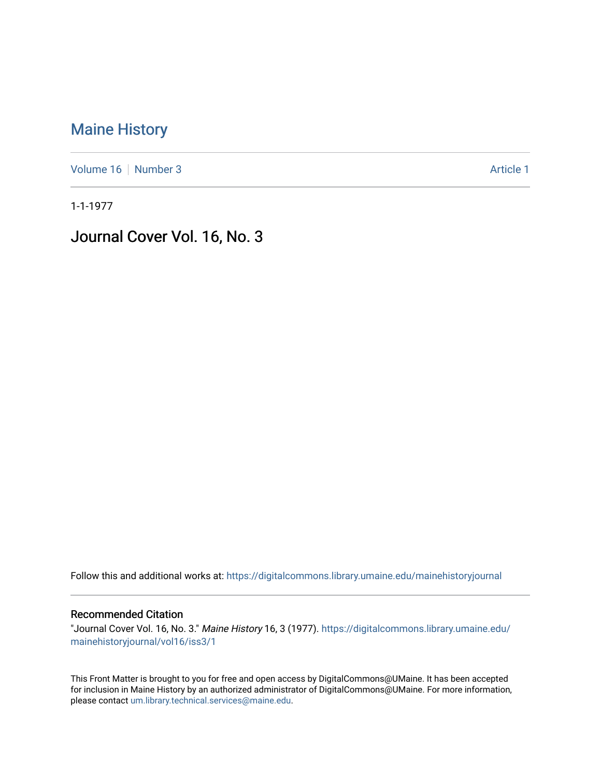## [Maine History](https://digitalcommons.library.umaine.edu/mainehistoryjournal)

[Volume 16](https://digitalcommons.library.umaine.edu/mainehistoryjournal/vol16) [Number 3](https://digitalcommons.library.umaine.edu/mainehistoryjournal/vol16/iss3) Article 1

1-1-1977

Journal Cover Vol. 16, No. 3

Follow this and additional works at: [https://digitalcommons.library.umaine.edu/mainehistoryjournal](https://digitalcommons.library.umaine.edu/mainehistoryjournal?utm_source=digitalcommons.library.umaine.edu%2Fmainehistoryjournal%2Fvol16%2Fiss3%2F1&utm_medium=PDF&utm_campaign=PDFCoverPages) 

## Recommended Citation

"Journal Cover Vol. 16, No. 3." Maine History 16, 3 (1977). [https://digitalcommons.library.umaine.edu/](https://digitalcommons.library.umaine.edu/mainehistoryjournal/vol16/iss3/1?utm_source=digitalcommons.library.umaine.edu%2Fmainehistoryjournal%2Fvol16%2Fiss3%2F1&utm_medium=PDF&utm_campaign=PDFCoverPages) [mainehistoryjournal/vol16/iss3/1](https://digitalcommons.library.umaine.edu/mainehistoryjournal/vol16/iss3/1?utm_source=digitalcommons.library.umaine.edu%2Fmainehistoryjournal%2Fvol16%2Fiss3%2F1&utm_medium=PDF&utm_campaign=PDFCoverPages)

This Front Matter is brought to you for free and open access by DigitalCommons@UMaine. It has been accepted for inclusion in Maine History by an authorized administrator of DigitalCommons@UMaine. For more information, please contact [um.library.technical.services@maine.edu.](mailto:um.library.technical.services@maine.edu)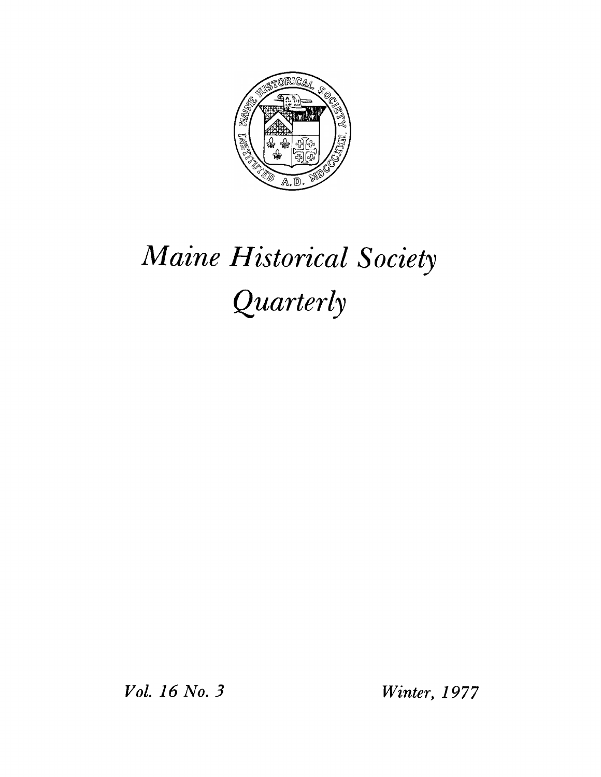

## *Maine Historical Society Quarterly*

*Vol. 16 No. 3 Winter, 1977*